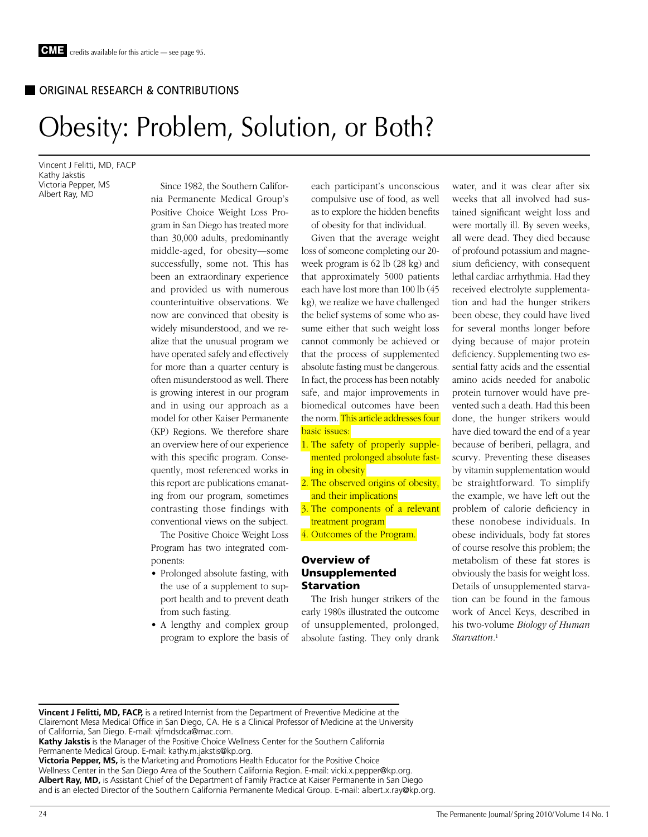# ORIGINAL RESEARCH & CONTRIBUTIONS

# Obesity: Problem, Solution, or Both?

Vincent J Felitti, MD, FACP Kathy Jakstis Victoria Pepper, MS Albert Ray, MD

Since 1982, the Southern California Permanente Medical Group's Positive Choice Weight Loss Program in San Diego has treated more than 30,000 adults, predominantly middle-aged, for obesity—some successfully, some not. This has been an extraordinary experience and provided us with numerous counterintuitive observations. We now are convinced that obesity is widely misunderstood, and we realize that the unusual program we have operated safely and effectively for more than a quarter century is often misunderstood as well. There is growing interest in our program and in using our approach as a model for other Kaiser Permanente (KP) Regions. We therefore share an overview here of our experience with this specific program. Consequently, most referenced works in this report are publications emanating from our program, sometimes contrasting those findings with conventional views on the subject.

The Positive Choice Weight Loss Program has two integrated components:

- Prolonged absolute fasting, with the use of a supplement to support health and to prevent death from such fasting.
- A lengthy and complex group program to explore the basis of

each participant's unconscious compulsive use of food, as well as to explore the hidden benefits of obesity for that individual.

Given that the average weight loss of someone completing our 20 week program is 62 lb (28 kg) and that approximately 5000 patients each have lost more than 100 lb (45 kg), we realize we have challenged the belief systems of some who assume either that such weight loss cannot commonly be achieved or that the process of supplemented absolute fasting must be dangerous. In fact, the process has been notably safe, and major improvements in biomedical outcomes have been the norm. This article addresses four basic issues:

- 1. The safety of properly supplemented prolonged absolute fasting in obesity
- 2. The observed origins of obesity, and their implications
- 3. The components of a relevant treatment program
- 4. Outcomes of the Program.

## Overview of Unsupplemented Starvation

The Irish hunger strikers of the early 1980s illustrated the outcome of unsupplemented, prolonged, absolute fasting. They only drank

water, and it was clear after six weeks that all involved had sustained significant weight loss and were mortally ill. By seven weeks, all were dead. They died because of profound potassium and magnesium deficiency, with consequent lethal cardiac arrhythmia. Had they received electrolyte supplementation and had the hunger strikers been obese, they could have lived for several months longer before dying because of major protein deficiency. Supplementing two essential fatty acids and the essential amino acids needed for anabolic protein turnover would have prevented such a death. Had this been done, the hunger strikers would have died toward the end of a year because of beriberi, pellagra, and scurvy. Preventing these diseases by vitamin supplementation would be straightforward. To simplify the example, we have left out the problem of calorie deficiency in these nonobese individuals. In obese individuals, body fat stores of course resolve this problem; the metabolism of these fat stores is obviously the basis for weight loss. Details of unsupplemented starvation can be found in the famous work of Ancel Keys, described in his two-volume *Biology of Human Starvation.*<sup>1</sup>

**Vincent J Felitti, MD, FACP,** is a retired Internist from the Department of Preventive Medicine at the Clairemont Mesa Medical Office in San Diego, CA. He is a Clinical Professor of Medicine at the University of California, San Diego. E-mail: vjfmdsdca@mac.com. **Kathy Jakstis** is the Manager of the Positive Choice Wellness Center for the Southern California

Permanente Medical Group. E-mail: kathy.m.jakstis@kp.org.

**Victoria Pepper, MS,** is the Marketing and Promotions Health Educator for the Positive Choice Wellness Center in the San Diego Area of the Southern California Region. E-mail: vicki.x.pepper@kp.org. **Albert Ray, MD,** is Assistant Chief of the Department of Family Practice at Kaiser Permanente in San Diego and is an elected Director of the Southern California Permanente Medical Group. E-mail: albert.x.ray@kp.org.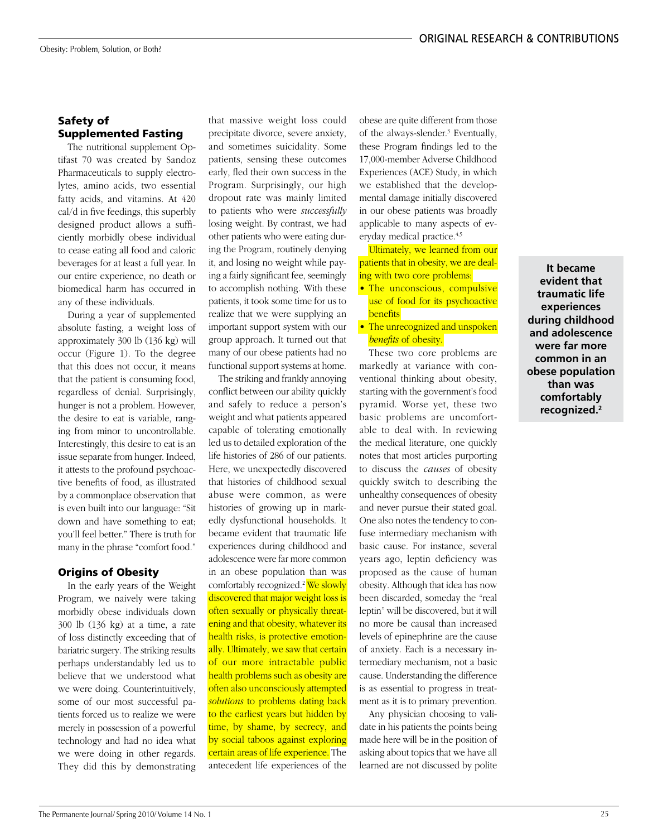# Safety of Supplemented Fasting

The nutritional supplement Optifast 70 was created by Sandoz Pharmaceuticals to supply electrolytes, amino acids, two essential fatty acids, and vitamins. At 420 cal/d in five feedings, this superbly designed product allows a sufficiently morbidly obese individual to cease eating all food and caloric beverages for at least a full year. In our entire experience, no death or biomedical harm has occurred in any of these individuals.

During a year of supplemented absolute fasting, a weight loss of approximately 300 lb (136 kg) will occur (Figure 1). To the degree that this does not occur, it means that the patient is consuming food, regardless of denial. Surprisingly, hunger is not a problem. However, the desire to eat is variable, ranging from minor to uncontrollable. Interestingly, this desire to eat is an issue separate from hunger. Indeed, it attests to the profound psychoactive benefits of food, as illustrated by a commonplace observation that is even built into our language: "Sit down and have something to eat; you'll feel better." There is truth for many in the phrase "comfort food."

## Origins of Obesity

In the early years of the Weight Program, we naively were taking morbidly obese individuals down 300 lb (136 kg) at a time, a rate of loss distinctly exceeding that of bariatric surgery. The striking results perhaps understandably led us to believe that we understood what we were doing. Counterintuitively, some of our most successful patients forced us to realize we were merely in possession of a powerful technology and had no idea what we were doing in other regards. They did this by demonstrating

that massive weight loss could precipitate divorce, severe anxiety, and sometimes suicidality. Some patients, sensing these outcomes early, fled their own success in the Program. Surprisingly, our high dropout rate was mainly limited to patients who were *successfully* losing weight. By contrast, we had other patients who were eating during the Program, routinely denying it, and losing no weight while paying a fairly significant fee, seemingly to accomplish nothing. With these patients, it took some time for us to realize that we were supplying an important support system with our group approach. It turned out that many of our obese patients had no functional support systems at home.

The striking and frankly annoying conflict between our ability quickly and safely to reduce a person's weight and what patients appeared capable of tolerating emotionally led us to detailed exploration of the life histories of 286 of our patients. Here, we unexpectedly discovered that histories of childhood sexual abuse were common, as were histories of growing up in markedly dysfunctional households. It became evident that traumatic life experiences during childhood and adolescence were far more common in an obese population than was comfortably recognized.<sup>2</sup> We slowly discovered that major weight loss is often sexually or physically threatening and that obesity, whatever its health risks, is protective emotionally. Ultimately, we saw that certain of our more intractable public health problems such as obesity are often also unconsciously attempted *solutions* to problems dating back to the earliest years but hidden by time, by shame, by secrecy, and by social taboos against exploring certain areas of life experience. The antecedent life experiences of the

obese are quite different from those of the always-slender.3 Eventually, these Program findings led to the 17,000-member Adverse Childhood Experiences (ACE) Study, in which we established that the developmental damage initially discovered in our obese patients was broadly applicable to many aspects of everyday medical practice.4,5

Ultimately, we learned from our patients that in obesity, we are dealing with two core problems:

- The unconscious, compulsive use of food for its psychoactive benefits
- The unrecognized and unspoken *benefits* of obesity.

These two core problems are markedly at variance with conventional thinking about obesity, starting with the government's food pyramid. Worse yet, these two basic problems are uncomfortable to deal with. In reviewing the medical literature, one quickly notes that most articles purporting to discuss the *causes* of obesity quickly switch to describing the unhealthy consequences of obesity and never pursue their stated goal. One also notes the tendency to confuse intermediary mechanism with basic cause. For instance, several years ago, leptin deficiency was proposed as the cause of human obesity. Although that idea has now been discarded, someday the "real leptin" will be discovered, but it will no more be causal than increased levels of epinephrine are the cause of anxiety. Each is a necessary intermediary mechanism, not a basic cause. Understanding the difference is as essential to progress in treatment as it is to primary prevention.

Any physician choosing to validate in his patients the points being made here will be in the position of asking about topics that we have all learned are not discussed by polite

**It became evident that traumatic life experiences during childhood and adolescence were far more common in an obese population than was comfortably recognized.2**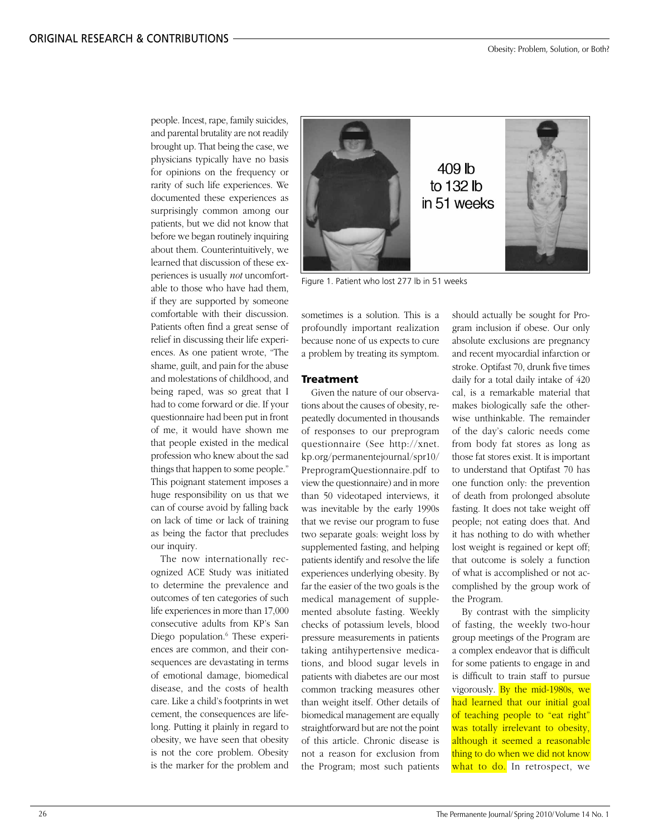people. Incest, rape, family suicides, and parental brutality are not readily brought up. That being the case, we physicians typically have no basis for opinions on the frequency or rarity of such life experiences. We documented these experiences as surprisingly common among our patients, but we did not know that before we began routinely inquiring about them. Counterintuitively, we learned that discussion of these experiences is usually *not* uncomfortable to those who have had them, if they are supported by someone comfortable with their discussion. Patients often find a great sense of relief in discussing their life experiences. As one patient wrote, "The shame, guilt, and pain for the abuse and molestations of childhood, and being raped, was so great that I had to come forward or die. If your questionnaire had been put in front of me, it would have shown me that people existed in the medical profession who knew about the sad things that happen to some people." This poignant statement imposes a huge responsibility on us that we can of course avoid by falling back on lack of time or lack of training as being the factor that precludes our inquiry.

The now internationally recognized ACE Study was initiated to determine the prevalence and outcomes of ten categories of such life experiences in more than 17,000 consecutive adults from KP's San Diego population.<sup>6</sup> These experiences are common, and their consequences are devastating in terms of emotional damage, biomedical disease, and the costs of health care. Like a child's footprints in wet cement, the consequences are lifelong. Putting it plainly in regard to obesity, we have seen that obesity is not the core problem. Obesity is the marker for the problem and



Figure 1. Patient who lost 277 lb in 51 weeks

sometimes is a solution. This is a profoundly important realization because none of us expects to cure a problem by treating its symptom.

## **Treatment**

Given the nature of our observations about the causes of obesity, repeatedly documented in thousands of responses to our preprogram questionnaire (See http://xnet. kp.org/permanentejournal/spr10/ [PreprogramQuestionnaire.pdf to](http://xnet.kp.org/permanentejournal/spr10/PreprogramQuestionnaire.pdf)  view the questionnaire) and in more than 50 videotaped interviews, it was inevitable by the early 1990s that we revise our program to fuse two separate goals: weight loss by supplemented fasting, and helping patients identify and resolve the life experiences underlying obesity. By far the easier of the two goals is the medical management of supplemented absolute fasting. Weekly checks of potassium levels, blood pressure measurements in patients taking antihypertensive medications, and blood sugar levels in patients with diabetes are our most common tracking measures other than weight itself. Other details of biomedical management are equally straightforward but are not the point of this article. Chronic disease is not a reason for exclusion from the Program; most such patients should actually be sought for Program inclusion if obese. Our only absolute exclusions are pregnancy and recent myocardial infarction or stroke. Optifast 70, drunk five times daily for a total daily intake of 420 cal, is a remarkable material that makes biologically safe the otherwise unthinkable. The remainder of the day's caloric needs come from body fat stores as long as those fat stores exist. It is important to understand that Optifast 70 has one function only: the prevention of death from prolonged absolute fasting. It does not take weight off people; not eating does that. And it has nothing to do with whether lost weight is regained or kept off; that outcome is solely a function of what is accomplished or not accomplished by the group work of the Program.

By contrast with the simplicity of fasting, the weekly two-hour group meetings of the Program are a complex endeavor that is difficult for some patients to engage in and is difficult to train staff to pursue vigorously. By the mid-1980s, we had learned that our initial goal of teaching people to "eat right" was totally irrelevant to obesity, although it seemed a reasonable thing to do when we did not know what to do. In retrospect, we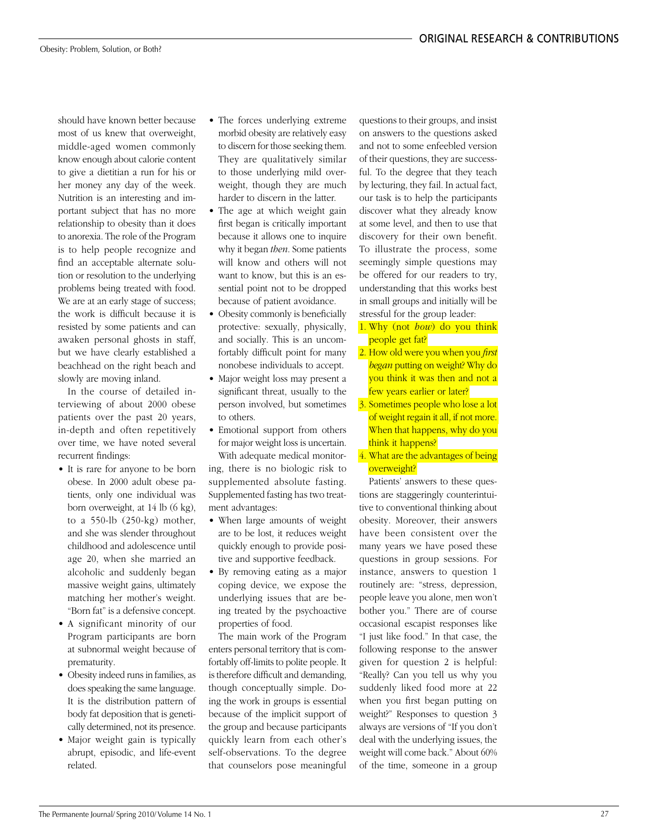should have known better because most of us knew that overweight, middle-aged women commonly know enough about calorie content to give a dietitian a run for his or her money any day of the week. Nutrition is an interesting and important subject that has no more relationship to obesity than it does to anorexia. The role of the Program is to help people recognize and find an acceptable alternate solution or resolution to the underlying problems being treated with food. We are at an early stage of success; the work is difficult because it is resisted by some patients and can awaken personal ghosts in staff, but we have clearly established a beachhead on the right beach and slowly are moving inland.

In the course of detailed interviewing of about 2000 obese patients over the past 20 years, in-depth and often repetitively over time, we have noted several recurrent findings:

- It is rare for anyone to be born obese. In 2000 adult obese patients, only one individual was born overweight, at 14 lb (6 kg), to a 550-lb (250-kg) mother, and she was slender throughout childhood and adolescence until age 20, when she married an alcoholic and suddenly began massive weight gains, ultimately matching her mother's weight. "Born fat" is a defensive concept.
- A significant minority of our Program participants are born at subnormal weight because of prematurity.
- Obesity indeed runs in families, as does speaking the same language. It is the distribution pattern of body fat deposition that is genetically determined, not its presence.
- Major weight gain is typically abrupt, episodic, and life-event related.
- The forces underlying extreme morbid obesity are relatively easy to discern for those seeking them. They are qualitatively similar to those underlying mild overweight, though they are much harder to discern in the latter.
- The age at which weight gain first began is critically important because it allows one to inquire why it began *then*. Some patients will know and others will not want to know, but this is an essential point not to be dropped because of patient avoidance.
- Obesity commonly is beneficially protective: sexually, physically, and socially. This is an uncomfortably difficult point for many nonobese individuals to accept.
- Major weight loss may present a significant threat, usually to the person involved, but sometimes to others.
- Emotional support from others for major weight loss is uncertain. With adequate medical monitoring, there is no biologic risk to supplemented absolute fasting. Supplemented fasting has two treat-
- ment advantages: • When large amounts of weight are to be lost, it reduces weight quickly enough to provide positive and supportive feedback.
- By removing eating as a major coping device, we expose the underlying issues that are being treated by the psychoactive properties of food.

The main work of the Program enters personal territory that is comfortably off-limits to polite people. It is therefore difficult and demanding, though conceptually simple. Doing the work in groups is essential because of the implicit support of the group and because participants quickly learn from each other's self-observations. To the degree that counselors pose meaningful

questions to their groups, and insist on answers to the questions asked and not to some enfeebled version of their questions, they are successful. To the degree that they teach by lecturing, they fail. In actual fact, our task is to help the participants discover what they already know at some level, and then to use that discovery for their own benefit. To illustrate the process, some seemingly simple questions may be offered for our readers to try, understanding that this works best in small groups and initially will be stressful for the group leader:

- 1. Why (not *how*) do you think people get fat?
- 2. How old were you when you *first began* putting on weight? Why do you think it was then and not a few years earlier or later?
- 3. Sometimes people who lose a lot of weight regain it all, if not more. When that happens, why do you think it happens?
- 4. What are the advantages of being overweight?

Patients' answers to these questions are staggeringly counterintuitive to conventional thinking about obesity. Moreover, their answers have been consistent over the many years we have posed these questions in group sessions. For instance, answers to question 1 routinely are: "stress, depression, people leave you alone, men won't bother you." There are of course occasional escapist responses like "I just like food." In that case, the following response to the answer given for question 2 is helpful: "Really? Can you tell us why you suddenly liked food more at 22 when you first began putting on weight?" Responses to question 3 always are versions of "If you don't deal with the underlying issues, the weight will come back." About 60% of the time, someone in a group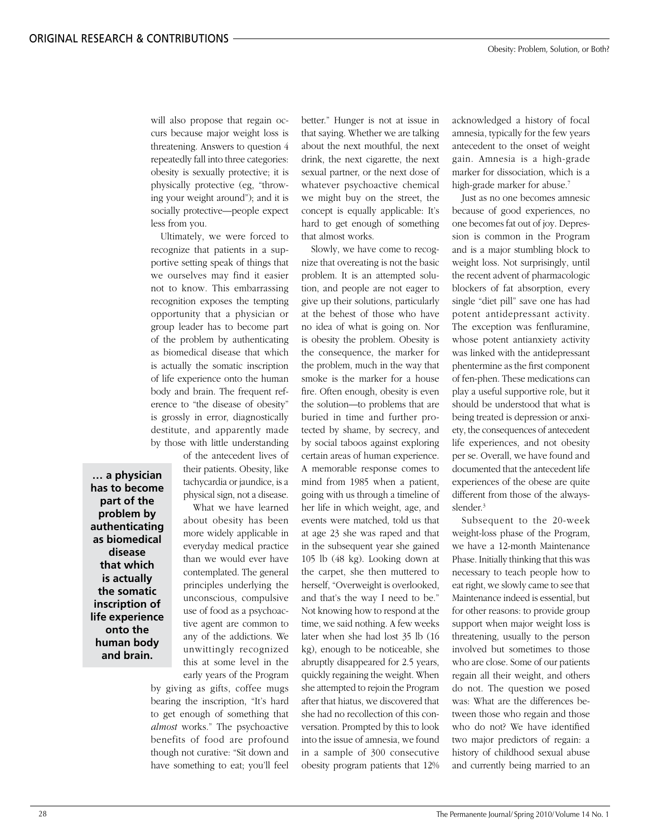will also propose that regain occurs because major weight loss is threatening. Answers to question 4 repeatedly fall into three categories: obesity is sexually protective; it is physically protective (eg, "throwing your weight around"); and it is socially protective—people expect less from you.

Ultimately, we were forced to recognize that patients in a supportive setting speak of things that we ourselves may find it easier not to know. This embarrassing recognition exposes the tempting opportunity that a physician or group leader has to become part of the problem by authenticating as biomedical disease that which is actually the somatic inscription of life experience onto the human body and brain. The frequent reference to "the disease of obesity" is grossly in error, diagnostically destitute, and apparently made by those with little understanding

of the antecedent lives of their patients. Obesity, like tachycardia or jaundice, is a physical sign, not a disease.

What we have learned about obesity has been more widely applicable in everyday medical practice than we would ever have contemplated. The general principles underlying the unconscious, compulsive use of food as a psychoactive agent are common to any of the addictions. We unwittingly recognized this at some level in the early years of the Program

by giving as gifts, coffee mugs bearing the inscription, "It's hard to get enough of something that *almost* works." The psychoactive benefits of food are profound though not curative: "Sit down and have something to eat; you'll feel

better." Hunger is not at issue in that saying. Whether we are talking about the next mouthful, the next drink, the next cigarette, the next sexual partner, or the next dose of whatever psychoactive chemical we might buy on the street, the concept is equally applicable: It's hard to get enough of something that almost works.

Slowly, we have come to recognize that overeating is not the basic problem. It is an attempted solution, and people are not eager to give up their solutions, particularly at the behest of those who have no idea of what is going on. Nor is obesity the problem. Obesity is the consequence, the marker for the problem, much in the way that smoke is the marker for a house fire. Often enough, obesity is even the solution—to problems that are buried in time and further protected by shame, by secrecy, and by social taboos against exploring certain areas of human experience. A memorable response comes to mind from 1985 when a patient, going with us through a timeline of her life in which weight, age, and events were matched, told us that at age 23 she was raped and that in the subsequent year she gained 105 lb (48 kg). Looking down at the carpet, she then muttered to herself, "Overweight is overlooked, and that's the way I need to be." Not knowing how to respond at the time, we said nothing. A few weeks later when she had lost 35 lb (16 kg), enough to be noticeable, she abruptly disappeared for 2.5 years, quickly regaining the weight. When she attempted to rejoin the Program after that hiatus, we discovered that she had no recollection of this conversation. Prompted by this to look into the issue of amnesia, we found in a sample of 300 consecutive obesity program patients that 12% acknowledged a history of focal amnesia, typically for the few years antecedent to the onset of weight gain. Amnesia is a high-grade marker for dissociation, which is a high-grade marker for abuse.<sup>7</sup>

Just as no one becomes amnesic because of good experiences, no one becomes fat out of joy. Depression is common in the Program and is a major stumbling block to weight loss. Not surprisingly, until the recent advent of pharmacologic blockers of fat absorption, every single "diet pill" save one has had potent antidepressant activity. The exception was fenfluramine, whose potent antianxiety activity was linked with the antidepressant phentermine as the first component of fen-phen. These medications can play a useful supportive role, but it should be understood that what is being treated is depression or anxiety, the consequences of antecedent life experiences, and not obesity per se. Overall, we have found and documented that the antecedent life experiences of the obese are quite different from those of the alwaysslender.3

Subsequent to the 20-week weight-loss phase of the Program, we have a 12-month Maintenance Phase. Initially thinking that this was necessary to teach people how to eat right, we slowly came to see that Maintenance indeed is essential, but for other reasons: to provide group support when major weight loss is threatening, usually to the person involved but sometimes to those who are close. Some of our patients regain all their weight, and others do not. The question we posed was: What are the differences between those who regain and those who do not? We have identified two major predictors of regain: a history of childhood sexual abuse and currently being married to an

**has to become part of the problem by authenticating as biomedical disease that which is actually the somatic inscription of life experience onto the human body and brain.**

**… a physician**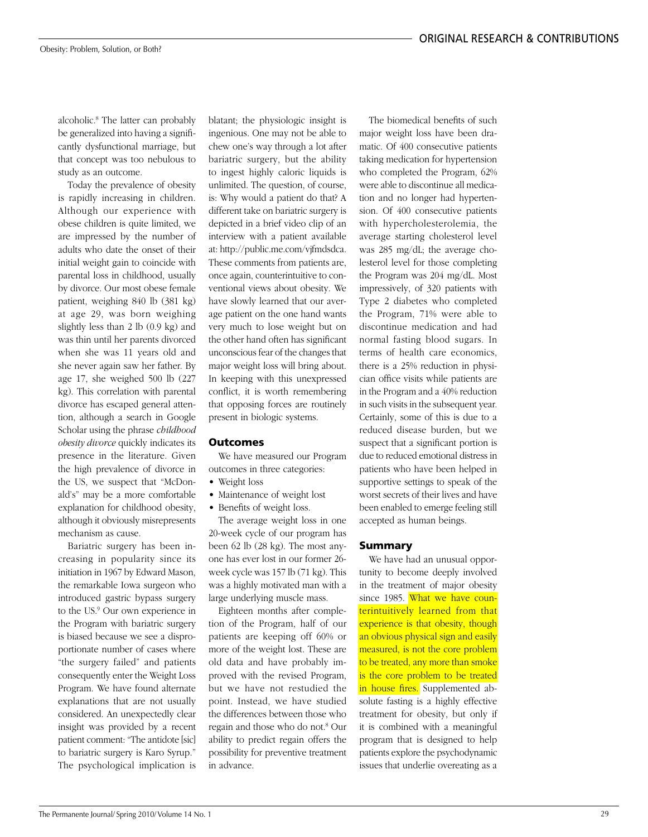alcoholic.8 The latter can probably be generalized into having a significantly dysfunctional marriage, but that concept was too nebulous to study as an outcome.

Today the prevalence of obesity is rapidly increasing in children. Although our experience with obese children is quite limited, we are impressed by the number of adults who date the onset of their initial weight gain to coincide with parental loss in childhood, usually by divorce. Our most obese female patient, weighing 840 lb (381 kg) at age 29, was born weighing slightly less than 2 lb (0.9 kg) and was thin until her parents divorced when she was 11 years old and she never again saw her father. By age 17, she weighed 500 lb (227 kg). This correlation with parental divorce has escaped general attention, although a search in Google Scholar using the phrase *childhood obesity divorce* quickly indicates its presence in the literature. Given the high prevalence of divorce in the US, we suspect that "McDonald's" may be a more comfortable explanation for childhood obesity, although it obviously misrepresents mechanism as cause.

Bariatric surgery has been increasing in popularity since its initiation in 1967 by Edward Mason, the remarkable Iowa surgeon who introduced gastric bypass surgery to the US.9 Our own experience in the Program with bariatric surgery is biased because we see a disproportionate number of cases where "the surgery failed" and patients consequently enter the Weight Loss Program. We have found alternate explanations that are not usually considered. An unexpectedly clear insight was provided by a recent patient comment: "The antidote [sic] to bariatric surgery is Karo Syrup." The psychological implication is

blatant; the physiologic insight is ingenious. One may not be able to chew one's way through a lot after bariatric surgery, but the ability to ingest highly caloric liquids is unlimited. The question, of course, is: Why would a patient do that? A different take on bariatric surgery is depicted in a brief video clip of an interview with a patient available at: http://public.me.com/vjfmdsdca. These comments from patients are, once again, counterintuitive to conventional views about obesity. We have slowly learned that our average patient on the one hand wants very much to lose weight but on the other hand often has significant unconscious fear of the changes that major weight loss will bring about. In keeping with this unexpressed conflict, it is worth remembering that opposing forces are routinely present in biologic systems.

## Outcomes

We have measured our Program outcomes in three categories:

- Weight loss
- Maintenance of weight lost
- Benefits of weight loss.

The average weight loss in one 20-week cycle of our program has been 62 lb (28 kg). The most anyone has ever lost in our former 26 week cycle was 157 lb (71 kg). This was a highly motivated man with a large underlying muscle mass.

Eighteen months after completion of the Program, half of our patients are keeping off 60% or more of the weight lost. These are old data and have probably improved with the revised Program, but we have not restudied the point. Instead, we have studied the differences between those who regain and those who do not.8 Our ability to predict regain offers the possibility for preventive treatment in advance.

The biomedical benefits of such major weight loss have been dramatic. Of 400 consecutive patients taking medication for hypertension who completed the Program, 62% were able to discontinue all medication and no longer had hypertension. Of 400 consecutive patients with hypercholesterolemia, the average starting cholesterol level was 285 mg/dL; the average cholesterol level for those completing the Program was 204 mg/dL. Most impressively, of 320 patients with Type 2 diabetes who completed the Program, 71% were able to discontinue medication and had normal fasting blood sugars. In terms of health care economics, there is a 25% reduction in physician office visits while patients are in the Program and a 40% reduction in such visits in the subsequent year. Certainly, some of this is due to a reduced disease burden, but we suspect that a significant portion is due to reduced emotional distress in patients who have been helped in supportive settings to speak of the worst secrets of their lives and have been enabled to emerge feeling still accepted as human beings.

### Summary

We have had an unusual opportunity to become deeply involved in the treatment of major obesity since 1985. What we have counterintuitively learned from that experience is that obesity, though an obvious physical sign and easily measured, is not the core problem to be treated, any more than smoke is the core problem to be treated in house fires. Supplemented absolute fasting is a highly effective treatment for obesity, but only if it is combined with a meaningful program that is designed to help patients explore the psychodynamic issues that underlie overeating as a